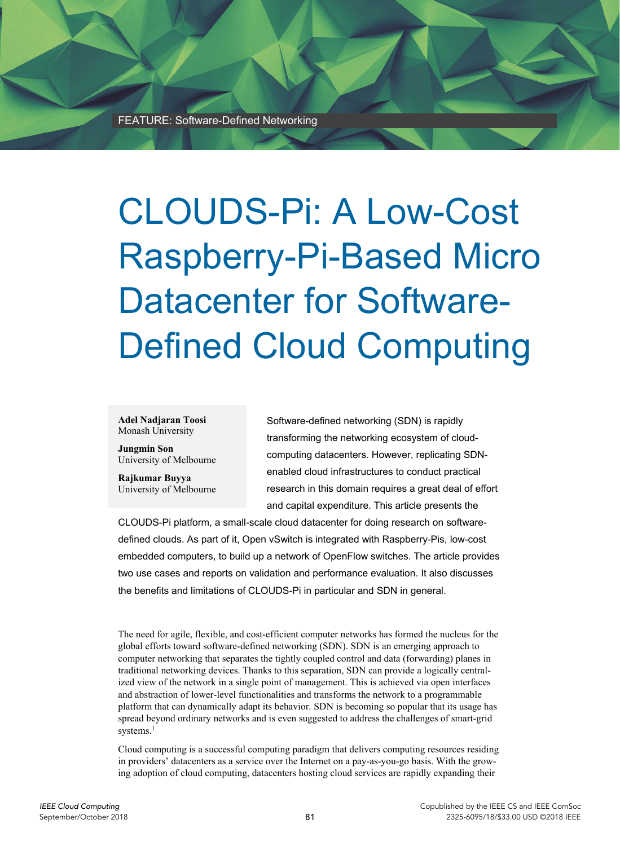# CLOUDS-Pi: A Low-Cost Raspberry-Pi-Based Micro Datacenter for Software-Defined Cloud Computing

**Adel Nadjaran Toosi**  Monash University

**Jungmin Son**  University of Melbourne

**Rajkumar Buyya**  University of Melbourne Software-defined networking (SDN) is rapidly transforming the networking ecosystem of cloudcomputing datacenters. However, replicating SDNenabled cloud infrastructures to conduct practical research in this domain requires a great deal of effort and capital expenditure. This article presents the

CLOUDS-Pi platform, a small-scale cloud datacenter for doing research on softwaredefined clouds. As part of it, Open vSwitch is integrated with Raspberry-Pis, low-cost embedded computers, to build up a network of OpenFlow switches. The article provides two use cases and reports on validation and performance evaluation. It also discusses the benefits and limitations of CLOUDS-Pi in particular and SDN in general.

The need for agile, flexible, and cost-efficient computer networks has formed the nucleus for the global efforts toward software-defined networking (SDN). SDN is an emerging approach to computer networking that separates the tightly coupled control and data (forwarding) planes in traditional networking devices. Thanks to this separation, SDN can provide a logically centralized view of the network in a single point of management. This is achieved via open interfaces and abstraction of lower-level functionalities and transforms the network to a programmable platform that can dynamically adapt its behavior. SDN is becoming so popular that its usage has spread beyond ordinary networks and is even suggested to address the challenges of smart-grid systems.<sup>1</sup>

Cloud computing is a successful computing paradigm that delivers computing resources residing in providers' datacenters as a service over the Internet on a pay-as-you-go basis. With the growing adoption of cloud computing, datacenters hosting cloud services are rapidly expanding their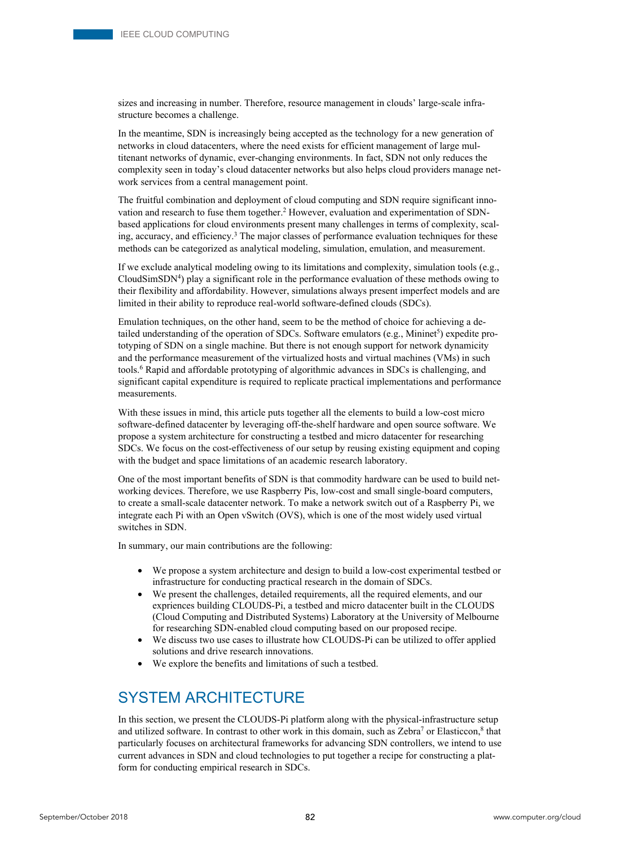sizes and increasing in number. Therefore, resource management in clouds' large-scale infrastructure becomes a challenge.

In the meantime, SDN is increasingly being accepted as the technology for a new generation of networks in cloud datacenters, where the need exists for efficient management of large multitenant networks of dynamic, ever-changing environments. In fact, SDN not only reduces the complexity seen in today's cloud datacenter networks but also helps cloud providers manage network services from a central management point.

The fruitful combination and deployment of cloud computing and SDN require significant innovation and research to fuse them together.<sup>2</sup> However, evaluation and experimentation of SDNbased applications for cloud environments present many challenges in terms of complexity, scaling, accuracy, and efficiency.<sup>3</sup> The major classes of performance evaluation techniques for these methods can be categorized as analytical modeling, simulation, emulation, and measurement.

If we exclude analytical modeling owing to its limitations and complexity, simulation tools (e.g., CloudSimSDN<sup>4</sup>) play a significant role in the performance evaluation of these methods owing to their flexibility and affordability. However, simulations always present imperfect models and are limited in their ability to reproduce real-world software-defined clouds (SDCs).

Emulation techniques, on the other hand, seem to be the method of choice for achieving a detailed understanding of the operation of SDCs. Software emulators  $(e.g.,$  Mininet<sup>5</sup>) expedite prototyping of SDN on a single machine. But there is not enough support for network dynamicity and the performance measurement of the virtualized hosts and virtual machines (VMs) in such tools.6 Rapid and affordable prototyping of algorithmic advances in SDCs is challenging, and significant capital expenditure is required to replicate practical implementations and performance measurements.

With these issues in mind, this article puts together all the elements to build a low-cost micro software-defined datacenter by leveraging off-the-shelf hardware and open source software. We propose a system architecture for constructing a testbed and micro datacenter for researching SDCs. We focus on the cost-effectiveness of our setup by reusing existing equipment and coping with the budget and space limitations of an academic research laboratory.

One of the most important benefits of SDN is that commodity hardware can be used to build networking devices. Therefore, we use Raspberry Pis, low-cost and small single-board computers, to create a small-scale datacenter network. To make a network switch out of a Raspberry Pi, we integrate each Pi with an Open vSwitch (OVS), which is one of the most widely used virtual switches in SDN.

In summary, our main contributions are the following:

- We propose a system architecture and design to build a low-cost experimental testbed or infrastructure for conducting practical research in the domain of SDCs.
- We present the challenges, detailed requirements, all the required elements, and our expriences building CLOUDS-Pi, a testbed and micro datacenter built in the CLOUDS (Cloud Computing and Distributed Systems) Laboratory at the University of Melbourne for researching SDN-enabled cloud computing based on our proposed recipe.
- We discuss two use cases to illustrate how CLOUDS-Pi can be utilized to offer applied solutions and drive research innovations.
- We explore the benefits and limitations of such a testbed.

## SYSTEM ARCHITECTURE

In this section, we present the CLOUDS-Pi platform along with the physical-infrastructure setup and utilized software. In contrast to other work in this domain, such as Zebra<sup>7</sup> or Elasticcon,<sup>8</sup> that particularly focuses on architectural frameworks for advancing SDN controllers, we intend to use current advances in SDN and cloud technologies to put together a recipe for constructing a platform for conducting empirical research in SDCs.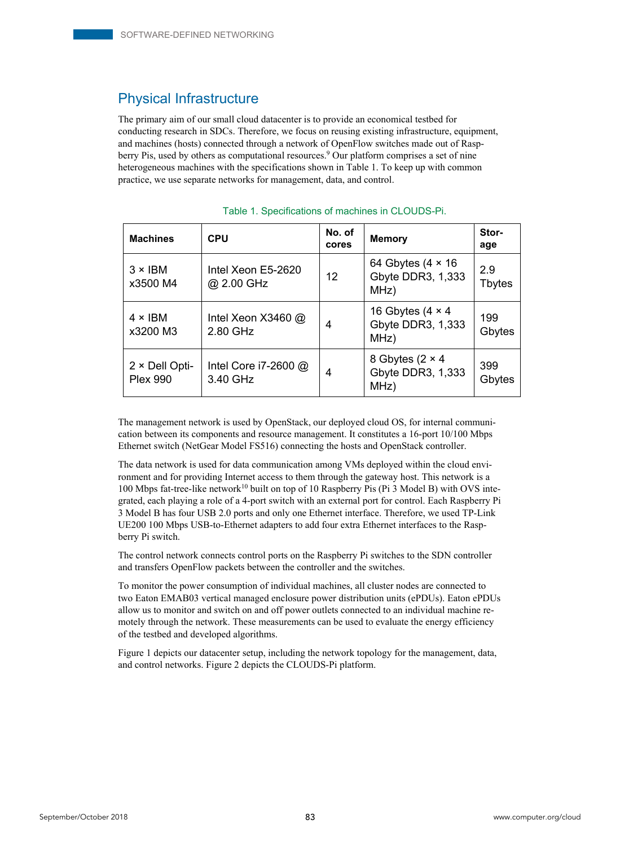#### Physical Infrastructure

The primary aim of our small cloud datacenter is to provide an economical testbed for conducting research in SDCs. Therefore, we focus on reusing existing infrastructure, equipment, and machines (hosts) connected through a network of OpenFlow switches made out of Raspberry Pis, used by others as computational resources.<sup>9</sup> Our platform comprises a set of nine heterogeneous machines with the specifications shown in Table 1. To keep up with common practice, we use separate networks for management, data, and control.

| <b>Machines</b>                   | <b>CPU</b>                       | No. of<br>cores | <b>Memory</b>                                          | Stor-<br>age         |
|-----------------------------------|----------------------------------|-----------------|--------------------------------------------------------|----------------------|
| $3 \times$ IBM<br>x3500 M4        | Intel Xeon E5-2620<br>@ 2.00 GHz | 12              | 64 Gbytes $(4 \times 16)$<br>Gbyte DDR3, 1,333<br>MHz) | 2.9<br><b>Thytes</b> |
| $4 \times$ IBM<br>x3200 M3        | Intel Xeon X3460 @<br>2.80 GHz   | 4               | 16 Gbytes $(4 \times 4)$<br>Gbyte DDR3, 1,333<br>MHz)  | 199<br>Gbytes        |
| 2 × Dell Opti-<br><b>Plex 990</b> | Intel Core i7-2600 @<br>3.40 GHz | 4               | 8 Gbytes ( $2 \times 4$<br>Gbyte DDR3, 1,333<br>MHz)   | 399<br>Gbytes        |

The management network is used by OpenStack, our deployed cloud OS, for internal communication between its components and resource management. It constitutes a 16-port 10/100 Mbps Ethernet switch (NetGear Model FS516) connecting the hosts and OpenStack controller.

The data network is used for data communication among VMs deployed within the cloud environment and for providing Internet access to them through the gateway host. This network is a 100 Mbps fat-tree-like network<sup>10</sup> built on top of 10 Raspberry Pis (Pi 3 Model B) with OVS integrated, each playing a role of a 4-port switch with an external port for control. Each Raspberry Pi 3 Model B has four USB 2.0 ports and only one Ethernet interface. Therefore, we used TP-Link UE200 100 Mbps USB-to-Ethernet adapters to add four extra Ethernet interfaces to the Raspberry Pi switch.

The control network connects control ports on the Raspberry Pi switches to the SDN controller and transfers OpenFlow packets between the controller and the switches.

To monitor the power consumption of individual machines, all cluster nodes are connected to two Eaton EMAB03 vertical managed enclosure power distribution units (ePDUs). Eaton ePDUs allow us to monitor and switch on and off power outlets connected to an individual machine remotely through the network. These measurements can be used to evaluate the energy efficiency of the testbed and developed algorithms.

Figure 1 depicts our datacenter setup, including the network topology for the management, data, and control networks. Figure 2 depicts the CLOUDS-Pi platform.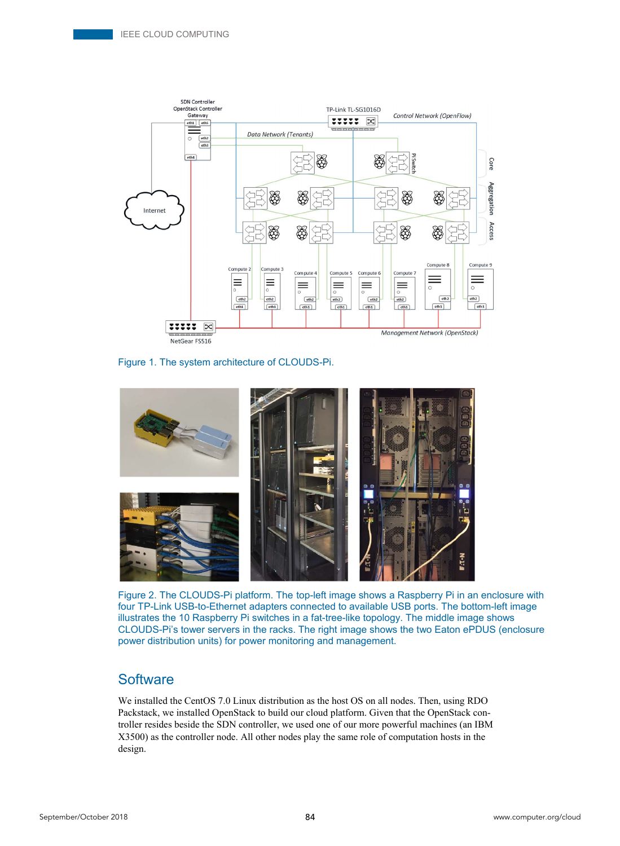

Figure 1. The system architecture of CLOUDS-Pi.



Figure 2. The CLOUDS-Pi platform. The top-left image shows a Raspberry Pi in an enclosure with four TP-Link USB-to-Ethernet adapters connected to available USB ports. The bottom-left image illustrates the 10 Raspberry Pi switches in a fat-tree-like topology. The middle image shows CLOUDS-Pi's tower servers in the racks. The right image shows the two Eaton ePDUS (enclosure power distribution units) for power monitoring and management.

#### **Software**

We installed the CentOS 7.0 Linux distribution as the host OS on all nodes. Then, using RDO Packstack, we installed OpenStack to build our cloud platform. Given that the OpenStack controller resides beside the SDN controller, we used one of our more powerful machines (an IBM X3500) as the controller node. All other nodes play the same role of computation hosts in the design.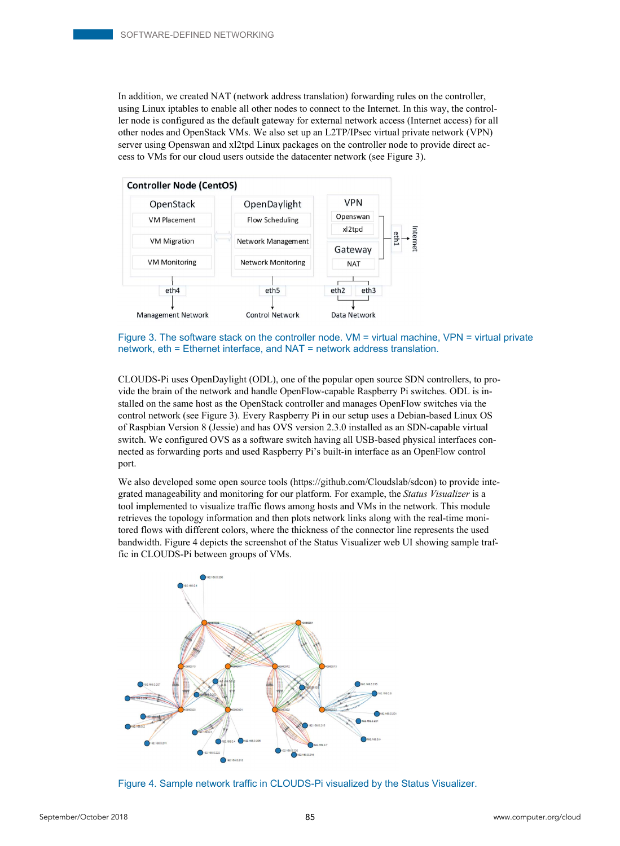In addition, we created NAT (network address translation) forwarding rules on the controller, using Linux iptables to enable all other nodes to connect to the Internet. In this way, the controller node is configured as the default gateway for external network access (Internet access) for all other nodes and OpenStack VMs. We also set up an L2TP/IPsec virtual private network (VPN) server using Openswan and xl2tpd Linux packages on the controller node to provide direct access to VMs for our cloud users outside the datacenter network (see Figure 3).



Figure 3. The software stack on the controller node. VM = virtual machine, VPN = virtual private network, eth = Ethernet interface, and NAT = network address translation.

CLOUDS-Pi uses OpenDaylight (ODL), one of the popular open source SDN controllers, to provide the brain of the network and handle OpenFlow-capable Raspberry Pi switches. ODL is installed on the same host as the OpenStack controller and manages OpenFlow switches via the control network (see Figure 3). Every Raspberry Pi in our setup uses a Debian-based Linux OS of Raspbian Version 8 (Jessie) and has OVS version 2.3.0 installed as an SDN-capable virtual switch. We configured OVS as a software switch having all USB-based physical interfaces connected as forwarding ports and used Raspberry Pi's built-in interface as an OpenFlow control port.

We also developed some open source tools (https://github.com/Cloudslab/sdcon) to provide integrated manageability and monitoring for our platform. For example, the *Status Visualizer* is a tool implemented to visualize traffic flows among hosts and VMs in the network. This module retrieves the topology information and then plots network links along with the real-time monitored flows with different colors, where the thickness of the connector line represents the used bandwidth. Figure 4 depicts the screenshot of the Status Visualizer web UI showing sample traffic in CLOUDS-Pi between groups of VMs.



Figure 4. Sample network traffic in CLOUDS-Pi visualized by the Status Visualizer.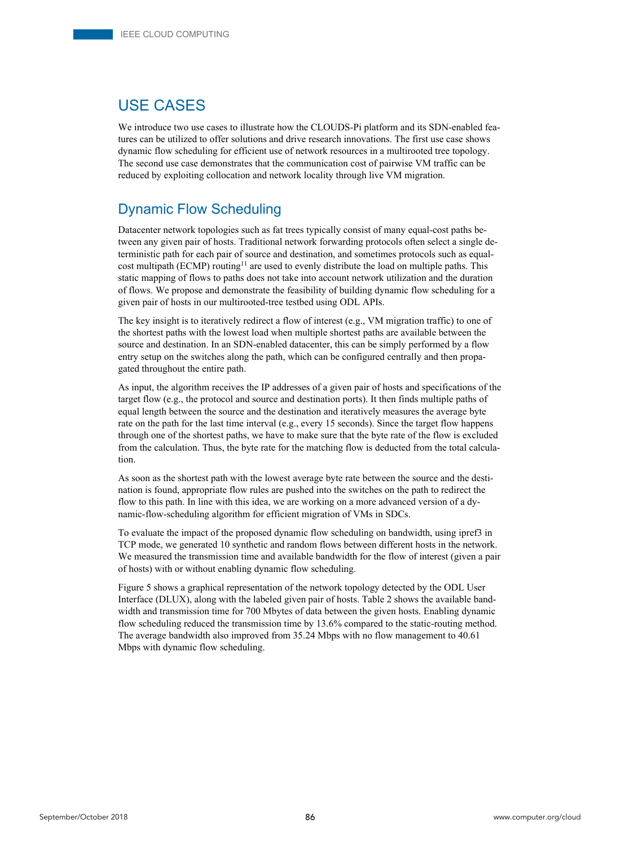## USE CASES

We introduce two use cases to illustrate how the CLOUDS-Pi platform and its SDN-enabled features can be utilized to offer solutions and drive research innovations. The first use case shows dynamic flow scheduling for efficient use of network resources in a multirooted tree topology. The second use case demonstrates that the communication cost of pairwise VM traffic can be reduced by exploiting collocation and network locality through live VM migration.

#### Dynamic Flow Scheduling

Datacenter network topologies such as fat trees typically consist of many equal-cost paths between any given pair of hosts. Traditional network forwarding protocols often select a single deterministic path for each pair of source and destination, and sometimes protocols such as equalcost multipath (ECMP) routing<sup>11</sup> are used to evenly distribute the load on multiple paths. This static mapping of flows to paths does not take into account network utilization and the duration of flows. We propose and demonstrate the feasibility of building dynamic flow scheduling for a given pair of hosts in our multirooted-tree testbed using ODL APIs.

The key insight is to iteratively redirect a flow of interest (e.g., VM migration traffic) to one of the shortest paths with the lowest load when multiple shortest paths are available between the source and destination. In an SDN-enabled datacenter, this can be simply performed by a flow entry setup on the switches along the path, which can be configured centrally and then propagated throughout the entire path.

As input, the algorithm receives the IP addresses of a given pair of hosts and specifications of the target flow (e.g., the protocol and source and destination ports). It then finds multiple paths of equal length between the source and the destination and iteratively measures the average byte rate on the path for the last time interval (e.g., every 15 seconds). Since the target flow happens through one of the shortest paths, we have to make sure that the byte rate of the flow is excluded from the calculation. Thus, the byte rate for the matching flow is deducted from the total calculation.

As soon as the shortest path with the lowest average byte rate between the source and the destination is found, appropriate flow rules are pushed into the switches on the path to redirect the flow to this path. In line with this idea, we are working on a more advanced version of a dynamic-flow-scheduling algorithm for efficient migration of VMs in SDCs.

To evaluate the impact of the proposed dynamic flow scheduling on bandwidth, using ipref3 in TCP mode, we generated 10 synthetic and random flows between different hosts in the network. We measured the transmission time and available bandwidth for the flow of interest (given a pair of hosts) with or without enabling dynamic flow scheduling.

Figure 5 shows a graphical representation of the network topology detected by the ODL User Interface (DLUX), along with the labeled given pair of hosts. Table 2 shows the available bandwidth and transmission time for 700 Mbytes of data between the given hosts. Enabling dynamic flow scheduling reduced the transmission time by 13.6% compared to the static-routing method. The average bandwidth also improved from 35.24 Mbps with no flow management to 40.61 Mbps with dynamic flow scheduling.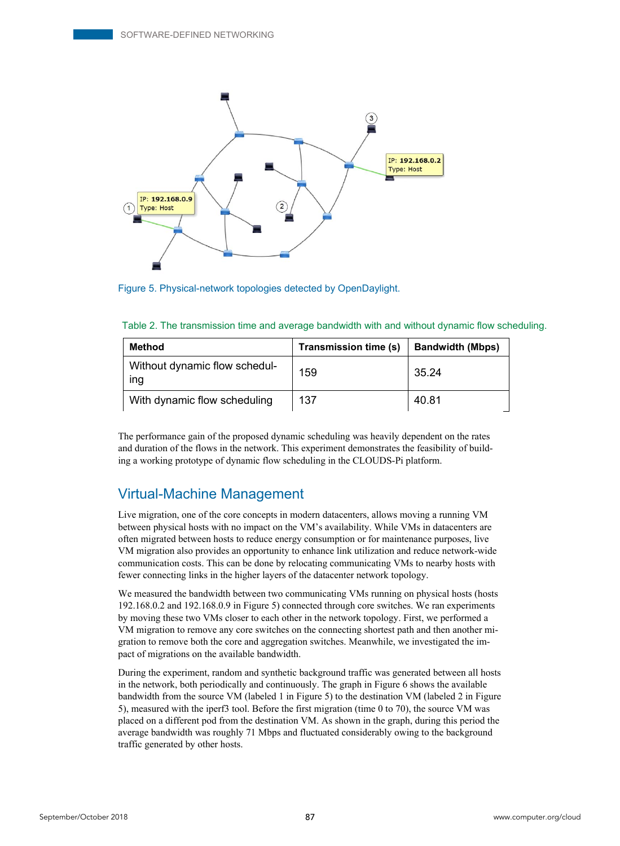

Figure 5. Physical-network topologies detected by OpenDaylight.

|  |  |  |  |  | Table 2. The transmission time and average bandwidth with and without dynamic flow scheduling. |  |
|--|--|--|--|--|------------------------------------------------------------------------------------------------|--|
|  |  |  |  |  |                                                                                                |  |

| Method                               | Transmission time (s) | <b>Bandwidth (Mbps)</b> |
|--------------------------------------|-----------------------|-------------------------|
| Without dynamic flow schedul-<br>ing | 159                   | 35.24                   |
| With dynamic flow scheduling         | 137                   | 40.81                   |

The performance gain of the proposed dynamic scheduling was heavily dependent on the rates and duration of the flows in the network. This experiment demonstrates the feasibility of building a working prototype of dynamic flow scheduling in the CLOUDS-Pi platform.

#### Virtual-Machine Management

Live migration, one of the core concepts in modern datacenters, allows moving a running VM between physical hosts with no impact on the VM's availability. While VMs in datacenters are often migrated between hosts to reduce energy consumption or for maintenance purposes, live VM migration also provides an opportunity to enhance link utilization and reduce network-wide communication costs. This can be done by relocating communicating VMs to nearby hosts with fewer connecting links in the higher layers of the datacenter network topology.

We measured the bandwidth between two communicating VMs running on physical hosts (hosts 192.168.0.2 and 192.168.0.9 in Figure 5) connected through core switches. We ran experiments by moving these two VMs closer to each other in the network topology. First, we performed a VM migration to remove any core switches on the connecting shortest path and then another migration to remove both the core and aggregation switches. Meanwhile, we investigated the impact of migrations on the available bandwidth.

During the experiment, random and synthetic background traffic was generated between all hosts in the network, both periodically and continuously. The graph in Figure 6 shows the available bandwidth from the source VM (labeled 1 in Figure 5) to the destination VM (labeled 2 in Figure 5), measured with the iperf3 tool. Before the first migration (time 0 to 70), the source VM was placed on a different pod from the destination VM. As shown in the graph, during this period the average bandwidth was roughly 71 Mbps and fluctuated considerably owing to the background traffic generated by other hosts.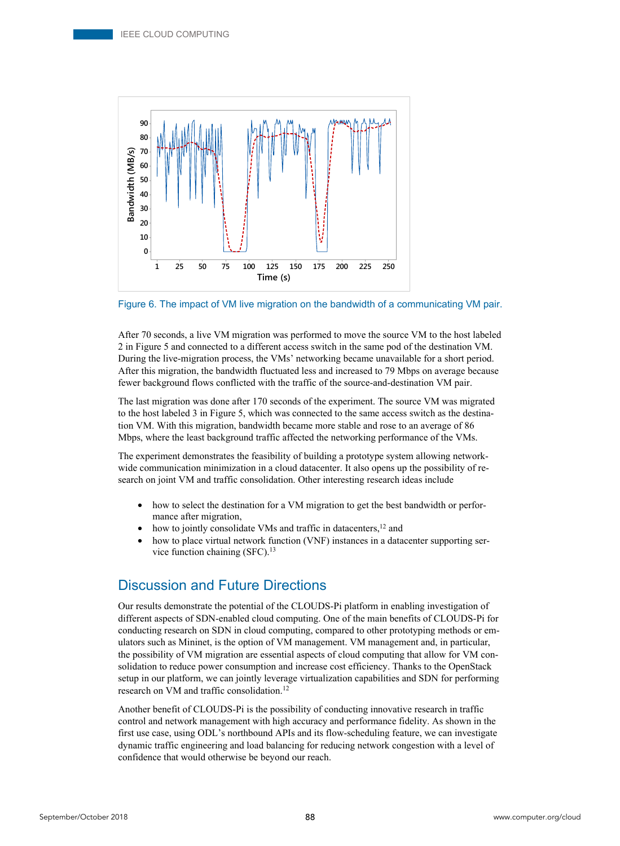

Figure 6. The impact of VM live migration on the bandwidth of a communicating VM pair.

After 70 seconds, a live VM migration was performed to move the source VM to the host labeled 2 in Figure 5 and connected to a different access switch in the same pod of the destination VM. During the live-migration process, the VMs' networking became unavailable for a short period. After this migration, the bandwidth fluctuated less and increased to 79 Mbps on average because fewer background flows conflicted with the traffic of the source-and-destination VM pair.

The last migration was done after 170 seconds of the experiment. The source VM was migrated to the host labeled 3 in Figure 5, which was connected to the same access switch as the destination VM. With this migration, bandwidth became more stable and rose to an average of 86 Mbps, where the least background traffic affected the networking performance of the VMs.

The experiment demonstrates the feasibility of building a prototype system allowing networkwide communication minimization in a cloud datacenter. It also opens up the possibility of research on joint VM and traffic consolidation. Other interesting research ideas include

- how to select the destination for a VM migration to get the best bandwidth or performance after migration,
- how to jointly consolidate VMs and traffic in datacenters,<sup>12</sup> and
- how to place virtual network function (VNF) instances in a datacenter supporting service function chaining (SFC).<sup>13</sup>

## Discussion and Future Directions

Our results demonstrate the potential of the CLOUDS-Pi platform in enabling investigation of different aspects of SDN-enabled cloud computing. One of the main benefits of CLOUDS-Pi for conducting research on SDN in cloud computing, compared to other prototyping methods or emulators such as Mininet, is the option of VM management. VM management and, in particular, the possibility of VM migration are essential aspects of cloud computing that allow for VM consolidation to reduce power consumption and increase cost efficiency. Thanks to the OpenStack setup in our platform, we can jointly leverage virtualization capabilities and SDN for performing research on VM and traffic consolidation.<sup>12</sup>

Another benefit of CLOUDS-Pi is the possibility of conducting innovative research in traffic control and network management with high accuracy and performance fidelity. As shown in the first use case, using ODL's northbound APIs and its flow-scheduling feature, we can investigate dynamic traffic engineering and load balancing for reducing network congestion with a level of confidence that would otherwise be beyond our reach.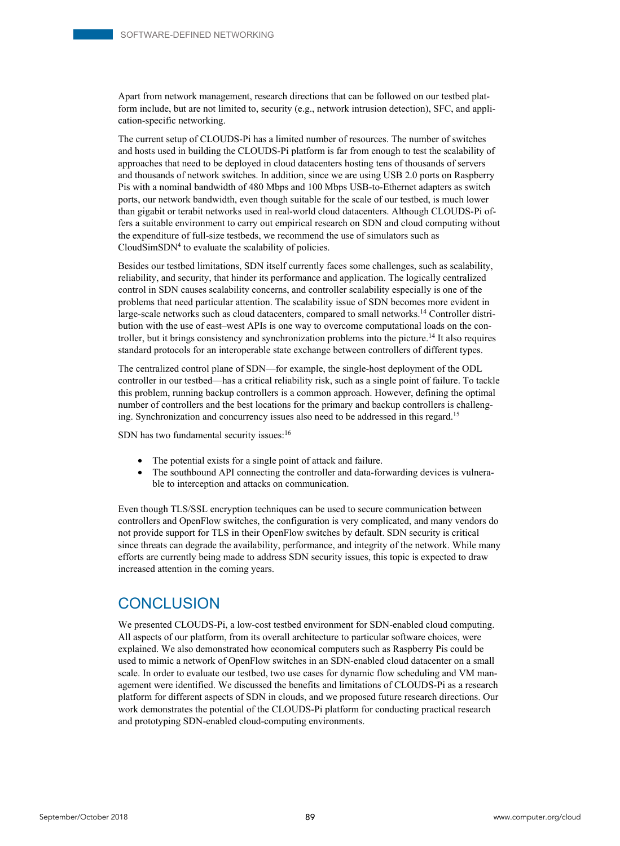Apart from network management, research directions that can be followed on our testbed platform include, but are not limited to, security (e.g., network intrusion detection), SFC, and application-specific networking.

The current setup of CLOUDS-Pi has a limited number of resources. The number of switches and hosts used in building the CLOUDS-Pi platform is far from enough to test the scalability of approaches that need to be deployed in cloud datacenters hosting tens of thousands of servers and thousands of network switches. In addition, since we are using USB 2.0 ports on Raspberry Pis with a nominal bandwidth of 480 Mbps and 100 Mbps USB-to-Ethernet adapters as switch ports, our network bandwidth, even though suitable for the scale of our testbed, is much lower than gigabit or terabit networks used in real-world cloud datacenters. Although CLOUDS-Pi offers a suitable environment to carry out empirical research on SDN and cloud computing without the expenditure of full-size testbeds, we recommend the use of simulators such as  $CloudSimSDN<sup>4</sup>$  to evaluate the scalability of policies.

Besides our testbed limitations, SDN itself currently faces some challenges, such as scalability, reliability, and security, that hinder its performance and application. The logically centralized control in SDN causes scalability concerns, and controller scalability especially is one of the problems that need particular attention. The scalability issue of SDN becomes more evident in large-scale networks such as cloud datacenters, compared to small networks.<sup>14</sup> Controller distribution with the use of east–west APIs is one way to overcome computational loads on the controller, but it brings consistency and synchronization problems into the picture.14 It also requires standard protocols for an interoperable state exchange between controllers of different types.

The centralized control plane of SDN—for example, the single-host deployment of the ODL controller in our testbed—has a critical reliability risk, such as a single point of failure. To tackle this problem, running backup controllers is a common approach. However, defining the optimal number of controllers and the best locations for the primary and backup controllers is challenging. Synchronization and concurrency issues also need to be addressed in this regard.15

SDN has two fundamental security issues:<sup>16</sup>

- The potential exists for a single point of attack and failure.
- The southbound API connecting the controller and data-forwarding devices is vulnerable to interception and attacks on communication.

Even though TLS/SSL encryption techniques can be used to secure communication between controllers and OpenFlow switches, the configuration is very complicated, and many vendors do not provide support for TLS in their OpenFlow switches by default. SDN security is critical since threats can degrade the availability, performance, and integrity of the network. While many efforts are currently being made to address SDN security issues, this topic is expected to draw increased attention in the coming years.

# **CONCLUSION**

We presented CLOUDS-Pi, a low-cost testbed environment for SDN-enabled cloud computing. All aspects of our platform, from its overall architecture to particular software choices, were explained. We also demonstrated how economical computers such as Raspberry Pis could be used to mimic a network of OpenFlow switches in an SDN-enabled cloud datacenter on a small scale. In order to evaluate our testbed, two use cases for dynamic flow scheduling and VM management were identified. We discussed the benefits and limitations of CLOUDS-Pi as a research platform for different aspects of SDN in clouds, and we proposed future research directions. Our work demonstrates the potential of the CLOUDS-Pi platform for conducting practical research and prototyping SDN-enabled cloud-computing environments.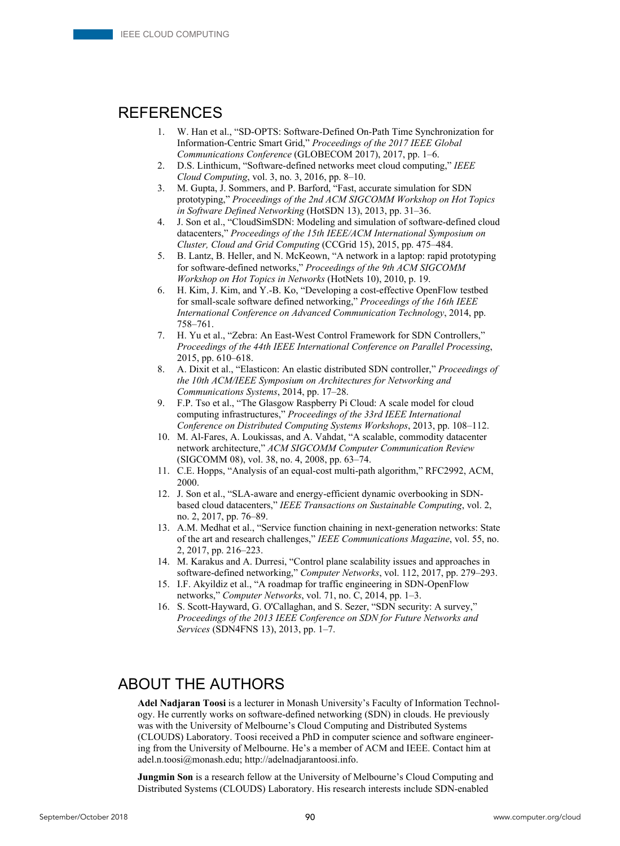#### REFERENCES

- 1. W. Han et al., "SD-OPTS: Software-Defined On-Path Time Synchronization for Information-Centric Smart Grid," *Proceedings of the 2017 IEEE Global Communications Conference* (GLOBECOM 2017), 2017, pp. 1–6.
- 2. D.S. Linthicum, "Software-defined networks meet cloud computing," *IEEE Cloud Computing*, vol. 3, no. 3, 2016, pp. 8–10.
- 3. M. Gupta, J. Sommers, and P. Barford, "Fast, accurate simulation for SDN prototyping," *Proceedings of the 2nd ACM SIGCOMM Workshop on Hot Topics in Software Defined Networking* (HotSDN 13), 2013, pp. 31–36.
- 4. J. Son et al., "CloudSimSDN: Modeling and simulation of software-defined cloud datacenters," *Proceedings of the 15th IEEE/ACM International Symposium on Cluster, Cloud and Grid Computing* (CCGrid 15), 2015, pp. 475–484.
- 5. B. Lantz, B. Heller, and N. McKeown, "A network in a laptop: rapid prototyping for software-defined networks," *Proceedings of the 9th ACM SIGCOMM Workshop on Hot Topics in Networks* (HotNets 10), 2010, p. 19.
- 6. H. Kim, J. Kim, and Y.-B. Ko, "Developing a cost-effective OpenFlow testbed for small-scale software defined networking," *Proceedings of the 16th IEEE International Conference on Advanced Communication Technology*, 2014, pp. 758–761.
- 7. H. Yu et al., "Zebra: An East-West Control Framework for SDN Controllers," *Proceedings of the 44th IEEE International Conference on Parallel Processing*, 2015, pp. 610–618.
- 8. A. Dixit et al., "Elasticon: An elastic distributed SDN controller," *Proceedings of the 10th ACM/IEEE Symposium on Architectures for Networking and Communications Systems*, 2014, pp. 17–28.
- 9. F.P. Tso et al., "The Glasgow Raspberry Pi Cloud: A scale model for cloud computing infrastructures," *Proceedings of the 33rd IEEE International Conference on Distributed Computing Systems Workshops*, 2013, pp. 108–112.
- 10. M. Al-Fares, A. Loukissas, and A. Vahdat, "A scalable, commodity datacenter network architecture," *ACM SIGCOMM Computer Communication Review* (SIGCOMM 08), vol. 38, no. 4, 2008, pp. 63–74.
- 11. C.E. Hopps, "Analysis of an equal-cost multi-path algorithm," RFC2992, ACM, 2000.
- 12. J. Son et al., "SLA-aware and energy-efficient dynamic overbooking in SDNbased cloud datacenters," *IEEE Transactions on Sustainable Computing*, vol. 2, no. 2, 2017, pp. 76–89.
- 13. A.M. Medhat et al., "Service function chaining in next-generation networks: State of the art and research challenges," *IEEE Communications Magazine*, vol. 55, no. 2, 2017, pp. 216–223.
- 14. M. Karakus and A. Durresi, "Control plane scalability issues and approaches in software-defined networking," *Computer Networks*, vol. 112, 2017, pp. 279–293.
- 15. I.F. Akyildiz et al., "A roadmap for traffic engineering in SDN-OpenFlow networks," *Computer Networks*, vol. 71, no. C, 2014, pp. 1–3.
- 16. S. Scott-Hayward, G. O'Callaghan, and S. Sezer, "SDN security: A survey," *Proceedings of the 2013 IEEE Conference on SDN for Future Networks and Services* (SDN4FNS 13), 2013, pp. 1–7.

# ABOUT THE AUTHORS

**Adel Nadjaran Toosi** is a lecturer in Monash University's Faculty of Information Technology. He currently works on software-defined networking (SDN) in clouds. He previously was with the University of Melbourne's Cloud Computing and Distributed Systems (CLOUDS) Laboratory. Toosi received a PhD in computer science and software engineering from the University of Melbourne. He's a member of ACM and IEEE. Contact him at adel.n.toosi@monash.edu; http://adelnadjarantoosi.info.

**Jungmin Son** is a research fellow at the University of Melbourne's Cloud Computing and Distributed Systems (CLOUDS) Laboratory. His research interests include SDN-enabled